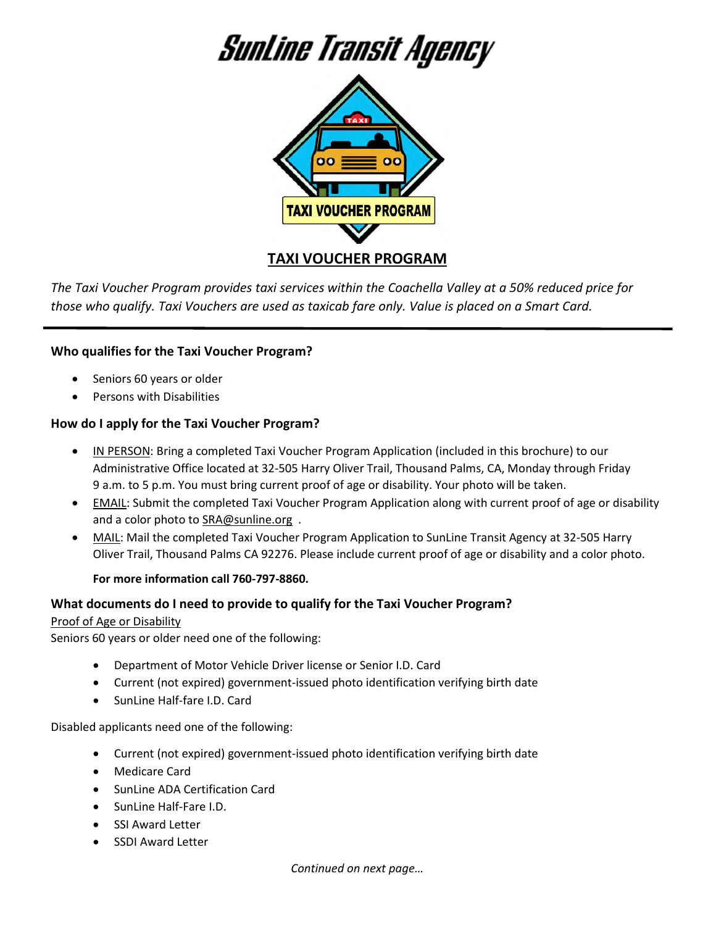# Sunline Transit Agency



*The Taxi Voucher Program provides taxi services within the Coachella Valley at a 50% reduced price for* 

*those who qualify. Taxi Vouchers are used as taxicab fare only. Value is placed on a Smart Card.* 

# **Who qualifies for the Taxi Voucher Program?**

- Seniors 60 years or older
- **•** Persons with Disabilities

# **How do I apply for the Taxi Voucher Program?**

- IN PERSON: Bring a completed Taxi Voucher Program Application (included in this brochure) to our Administrative Office located at 32-505 Harry Oliver Trail, Thousand Palms, CA, Monday through Friday 9 a.m. to 5 p.m. You must bring current proof of age or disability. Your photo will be taken.
- EMAIL: Submit the completed Taxi Voucher Program Application along with current proof of age or disability and a color photo to SRA@sunline.org .
- MAIL: Mail the completed Taxi Voucher Program Application to SunLine Transit Agency at 32-505 Harry Oliver Trail, Thousand Palms CA 92276. Please include current proof of age or disability and a color photo.

#### **For more information call 760-797-8860.**

# **What documents do I need to provide to qualify for the Taxi Voucher Program?**

# Proof of Age or Disability

Seniors 60 years or older need one of the following:

- Department of Motor Vehicle Driver license or Senior I.D. Card
- Current (not expired) government-issued photo identification verifying birth date
- SunLine Half-fare I.D. Card

Disabled applicants need one of the following:

- Current (not expired) government-issued photo identification verifying birth date
- Medicare Card
- SunLine ADA Certification Card
- SunLine Half-Fare I.D.
- SSI Award Letter
- SSDI Award Letter

*Continued on next page…*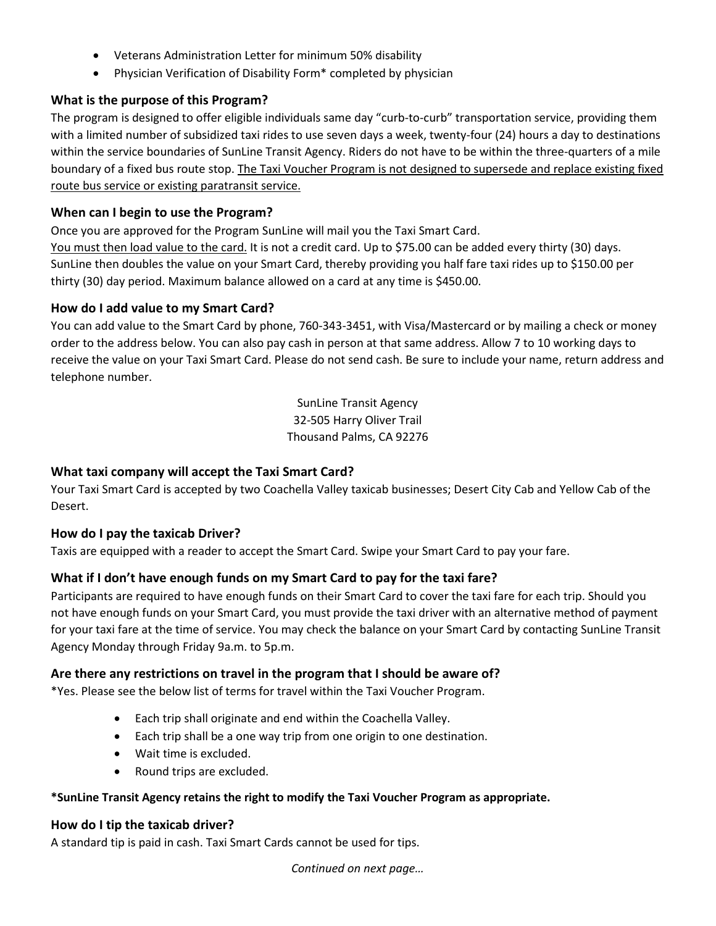- Veterans Administration Letter for minimum 50% disability
- Physician Verification of Disability Form\* completed by physician

#### **What is the purpose of this Program?**

The program is designed to offer eligible individuals same day "curb-to-curb" transportation service, providing them with a limited number of subsidized taxi rides to use seven days a week, twenty-four (24) hours a day to destinations within the service boundaries of SunLine Transit Agency. Riders do not have to be within the three-quarters of a mile boundary of a fixed bus route stop. The Taxi Voucher Program is not designed to supersede and replace existing fixed route bus service or existing paratransit service.

#### **When can I begin to use the Program?**

Once you are approved for the Program SunLine will mail you the Taxi Smart Card.

You must then load value to the card. It is not a credit card. Up to \$75.00 can be added every thirty (30) days. SunLine then doubles the value on your Smart Card, thereby providing you half fare taxi rides up to \$150.00 per thirty (30) day period. Maximum balance allowed on a card at any time is \$450.00.

#### **How do I add value to my Smart Card?**

You can add value to the Smart Card by phone, 760-343-3451, with Visa/Mastercard or by mailing a check or money order to the address below. You can also pay cash in person at that same address. Allow 7 to 10 working days to receive the value on your Taxi Smart Card. Please do not send cash. Be sure to include your name, return address and telephone number.

> SunLine Transit Agency 32-505 Harry Oliver Trail Thousand Palms, CA 92276

# **What taxi company will accept the Taxi Smart Card?**

Your Taxi Smart Card is accepted by two Coachella Valley taxicab businesses; Desert City Cab and Yellow Cab of the Desert.

#### **How do I pay the taxicab Driver?**

Taxis are equipped with a reader to accept the Smart Card. Swipe your Smart Card to pay your fare.

# **What if I don't have enough funds on my Smart Card to pay for the taxi fare?**

Participants are required to have enough funds on their Smart Card to cover the taxi fare for each trip. Should you not have enough funds on your Smart Card, you must provide the taxi driver with an alternative method of payment for your taxi fare at the time of service. You may check the balance on your Smart Card by contacting SunLine Transit Agency Monday through Friday 9a.m. to 5p.m.

#### **Are there any restrictions on travel in the program that I should be aware of?**

\*Yes. Please see the below list of terms for travel within the Taxi Voucher Program.

- Each trip shall originate and end within the Coachella Valley.
- Each trip shall be a one way trip from one origin to one destination.
- Wait time is excluded.
- Round trips are excluded.

#### **\*SunLine Transit Agency retains the right to modify the Taxi Voucher Program as appropriate.**

#### **How do I tip the taxicab driver?**

A standard tip is paid in cash. Taxi Smart Cards cannot be used for tips.

*Continued on next page…*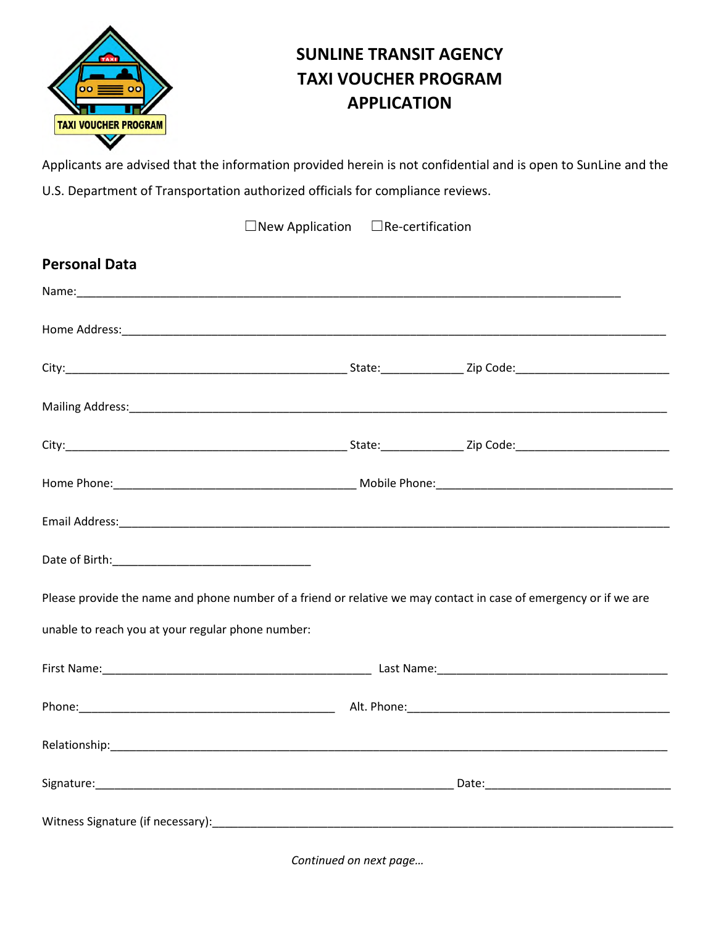

# **SUNLINE TRANSIT AGENCY TAXI VOUCHER PROGRAM APPLICATION**

Applicants are advised that the information provided herein is not confidential and is open to SunLine and the U.S. Department of Transportation authorized officials for compliance reviews.

| $\Box$ New Application $\Box$ Re-certification                                                                                                                                                                                |  |  |  |  |
|-------------------------------------------------------------------------------------------------------------------------------------------------------------------------------------------------------------------------------|--|--|--|--|
| <b>Personal Data</b>                                                                                                                                                                                                          |  |  |  |  |
|                                                                                                                                                                                                                               |  |  |  |  |
|                                                                                                                                                                                                                               |  |  |  |  |
|                                                                                                                                                                                                                               |  |  |  |  |
|                                                                                                                                                                                                                               |  |  |  |  |
|                                                                                                                                                                                                                               |  |  |  |  |
|                                                                                                                                                                                                                               |  |  |  |  |
|                                                                                                                                                                                                                               |  |  |  |  |
|                                                                                                                                                                                                                               |  |  |  |  |
| Please provide the name and phone number of a friend or relative we may contact in case of emergency or if we are                                                                                                             |  |  |  |  |
| unable to reach you at your regular phone number:                                                                                                                                                                             |  |  |  |  |
|                                                                                                                                                                                                                               |  |  |  |  |
|                                                                                                                                                                                                                               |  |  |  |  |
| Relationship: Note and the state of the state of the state of the state of the state of the state of the state of the state of the state of the state of the state of the state of the state of the state of the state of the |  |  |  |  |
|                                                                                                                                                                                                                               |  |  |  |  |
|                                                                                                                                                                                                                               |  |  |  |  |

*Continued on next page…*